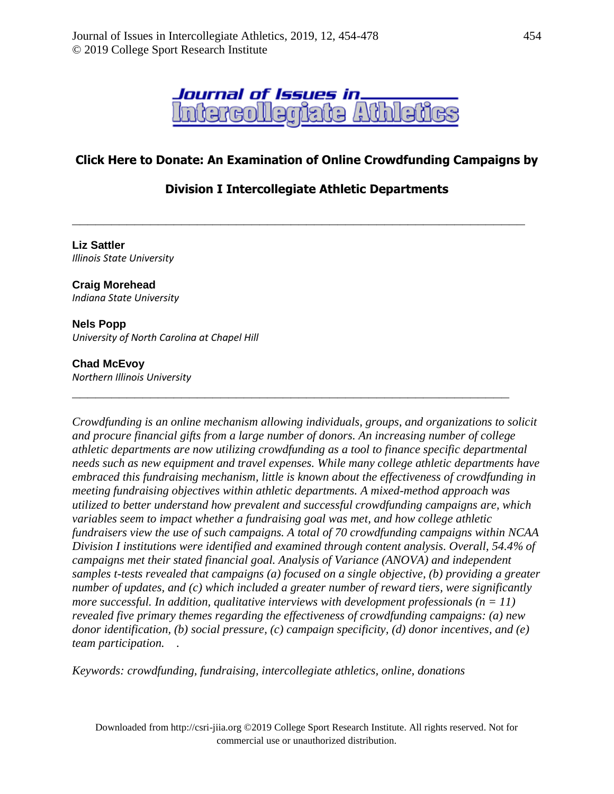

## **Click Here to Donate: An Examination of Online Crowdfunding Campaigns by**

## **Division I Intercollegiate Athletic Departments**

**\_\_\_\_\_\_\_\_\_\_\_\_\_\_\_\_\_\_\_\_\_\_\_\_\_\_\_\_\_\_\_\_\_\_\_\_\_\_\_\_\_\_\_\_\_\_\_\_\_\_\_\_\_\_\_\_\_\_**

**\_\_\_\_\_\_\_\_\_\_\_\_\_\_\_\_\_\_\_\_\_\_\_\_\_\_\_\_\_\_\_\_\_\_\_\_\_\_\_\_\_\_\_\_\_\_\_\_\_\_\_\_\_\_\_\_**

**Liz Sattler** *Illinois State University*

#### **Craig Morehead**

*Indiana State University* 

#### **Nels Popp**

*University of North Carolina at Chapel Hill*

#### **Chad McEvoy**

*Northern Illinois University*

*Crowdfunding is an online mechanism allowing individuals, groups, and organizations to solicit and procure financial gifts from a large number of donors. An increasing number of college athletic departments are now utilizing crowdfunding as a tool to finance specific departmental needs such as new equipment and travel expenses. While many college athletic departments have embraced this fundraising mechanism, little is known about the effectiveness of crowdfunding in meeting fundraising objectives within athletic departments. A mixed-method approach was utilized to better understand how prevalent and successful crowdfunding campaigns are, which variables seem to impact whether a fundraising goal was met, and how college athletic fundraisers view the use of such campaigns. A total of 70 crowdfunding campaigns within NCAA Division I institutions were identified and examined through content analysis. Overall, 54.4% of campaigns met their stated financial goal. Analysis of Variance (ANOVA) and independent samples t-tests revealed that campaigns (a) focused on a single objective, (b) providing a greater number of updates, and (c) which included a greater number of reward tiers, were significantly more successful. In addition, qualitative interviews with development professionals (n = 11) revealed five primary themes regarding the effectiveness of crowdfunding campaigns: (a) new donor identification, (b) social pressure, (c) campaign specificity, (d) donor incentives, and (e) team participation. .* 

*Keywords: crowdfunding, fundraising, intercollegiate athletics, online, donations*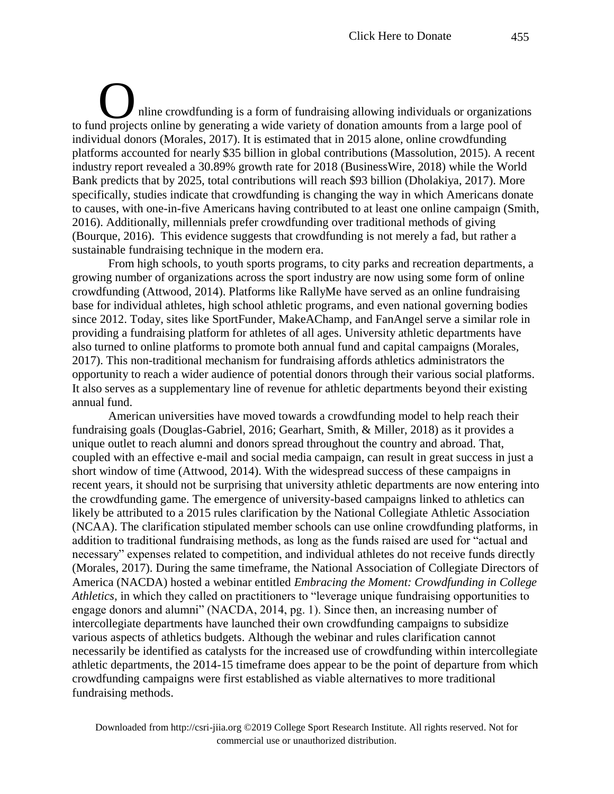nline crowdfunding is a form of fundraising allowing individuals or organizations nline crowdfunding is a form of fundraising allowing individuals or organization<br>to fund projects online by generating a wide variety of donation amounts from a large pool of individual donors (Morales, 2017). It is estimated that in 2015 alone, online crowdfunding platforms accounted for nearly \$35 billion in global contributions (Massolution, 2015). A recent industry report revealed a 30.89% growth rate for 2018 (BusinessWire, 2018) while the World Bank predicts that by 2025, total contributions will reach \$93 billion (Dholakiya, 2017). More specifically, studies indicate that crowdfunding is changing the way in which Americans donate to causes, with one-in-five Americans having contributed to at least one online campaign (Smith, 2016). Additionally, millennials prefer crowdfunding over traditional methods of giving (Bourque, 2016). This evidence suggests that crowdfunding is not merely a fad, but rather a sustainable fundraising technique in the modern era.

From high schools, to youth sports programs, to city parks and recreation departments, a growing number of organizations across the sport industry are now using some form of online crowdfunding (Attwood, 2014). Platforms like RallyMe have served as an online fundraising base for individual athletes, high school athletic programs, and even national governing bodies since 2012. Today, sites like SportFunder, MakeAChamp, and FanAngel serve a similar role in providing a fundraising platform for athletes of all ages. University athletic departments have also turned to online platforms to promote both annual fund and capital campaigns (Morales, 2017). This non-traditional mechanism for fundraising affords athletics administrators the opportunity to reach a wider audience of potential donors through their various social platforms. It also serves as a supplementary line of revenue for athletic departments beyond their existing annual fund.

American universities have moved towards a crowdfunding model to help reach their fundraising goals (Douglas-Gabriel, 2016; Gearhart, Smith, & Miller, 2018) as it provides a unique outlet to reach alumni and donors spread throughout the country and abroad. That, coupled with an effective e-mail and social media campaign, can result in great success in just a short window of time (Attwood, 2014). With the widespread success of these campaigns in recent years, it should not be surprising that university athletic departments are now entering into the crowdfunding game. The emergence of university-based campaigns linked to athletics can likely be attributed to a 2015 rules clarification by the National Collegiate Athletic Association (NCAA). The clarification stipulated member schools can use online crowdfunding platforms, in addition to traditional fundraising methods, as long as the funds raised are used for "actual and necessary" expenses related to competition, and individual athletes do not receive funds directly (Morales, 2017). During the same timeframe, the National Association of Collegiate Directors of America (NACDA) hosted a webinar entitled *Embracing the Moment: Crowdfunding in College Athletics,* in which they called on practitioners to "leverage unique fundraising opportunities to engage donors and alumni" (NACDA, 2014, pg. 1). Since then, an increasing number of intercollegiate departments have launched their own crowdfunding campaigns to subsidize various aspects of athletics budgets. Although the webinar and rules clarification cannot necessarily be identified as catalysts for the increased use of crowdfunding within intercollegiate athletic departments, the 2014-15 timeframe does appear to be the point of departure from which crowdfunding campaigns were first established as viable alternatives to more traditional fundraising methods.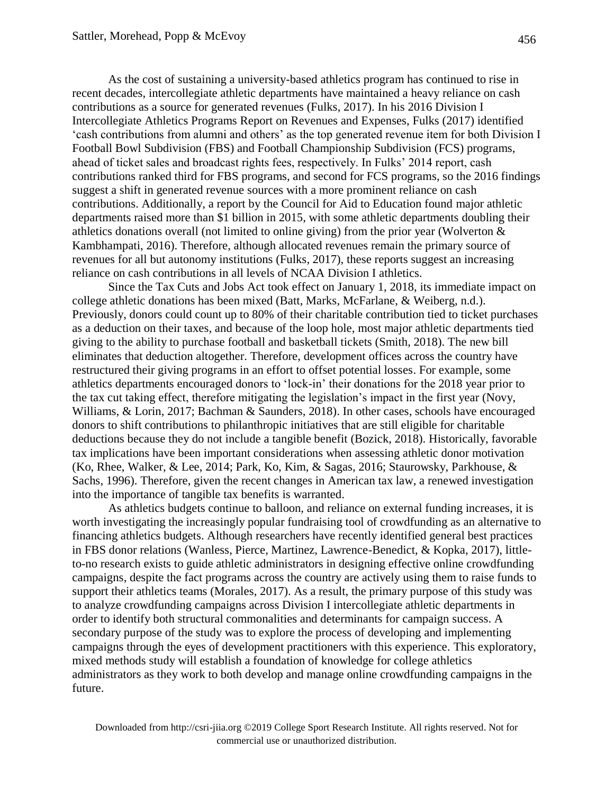As the cost of sustaining a university-based athletics program has continued to rise in recent decades, intercollegiate athletic departments have maintained a heavy reliance on cash contributions as a source for generated revenues (Fulks, 2017). In his 2016 Division I Intercollegiate Athletics Programs Report on Revenues and Expenses, Fulks (2017) identified 'cash contributions from alumni and others' as the top generated revenue item for both Division I Football Bowl Subdivision (FBS) and Football Championship Subdivision (FCS) programs, ahead of ticket sales and broadcast rights fees, respectively. In Fulks' 2014 report, cash contributions ranked third for FBS programs, and second for FCS programs, so the 2016 findings suggest a shift in generated revenue sources with a more prominent reliance on cash contributions. Additionally, a report by the Council for Aid to Education found major athletic departments raised more than \$1 billion in 2015, with some athletic departments doubling their athletics donations overall (not limited to online giving) from the prior year (Wolverton & Kambhampati, 2016). Therefore, although allocated revenues remain the primary source of revenues for all but autonomy institutions (Fulks, 2017), these reports suggest an increasing reliance on cash contributions in all levels of NCAA Division I athletics.

Since the Tax Cuts and Jobs Act took effect on January 1, 2018, its immediate impact on college athletic donations has been mixed (Batt, Marks, McFarlane, & Weiberg, n.d.). Previously, donors could count up to 80% of their charitable contribution tied to ticket purchases as a deduction on their taxes, and because of the loop hole, most major athletic departments tied giving to the ability to purchase football and basketball tickets (Smith, 2018). The new bill eliminates that deduction altogether. Therefore, development offices across the country have restructured their giving programs in an effort to offset potential losses. For example, some athletics departments encouraged donors to 'lock-in' their donations for the 2018 year prior to the tax cut taking effect, therefore mitigating the legislation's impact in the first year (Novy, Williams, & Lorin, 2017; Bachman & Saunders, 2018). In other cases, schools have encouraged donors to shift contributions to philanthropic initiatives that are still eligible for charitable deductions because they do not include a tangible benefit (Bozick, 2018). Historically, favorable tax implications have been important considerations when assessing athletic donor motivation (Ko, Rhee, Walker, & Lee, 2014; Park, Ko, Kim, & Sagas, 2016; Staurowsky, Parkhouse, & Sachs, 1996). Therefore, given the recent changes in American tax law, a renewed investigation into the importance of tangible tax benefits is warranted.

As athletics budgets continue to balloon, and reliance on external funding increases, it is worth investigating the increasingly popular fundraising tool of crowdfunding as an alternative to financing athletics budgets. Although researchers have recently identified general best practices in FBS donor relations (Wanless, Pierce, Martinez, Lawrence-Benedict, & Kopka, 2017), littleto-no research exists to guide athletic administrators in designing effective online crowdfunding campaigns, despite the fact programs across the country are actively using them to raise funds to support their athletics teams (Morales, 2017). As a result, the primary purpose of this study was to analyze crowdfunding campaigns across Division I intercollegiate athletic departments in order to identify both structural commonalities and determinants for campaign success. A secondary purpose of the study was to explore the process of developing and implementing campaigns through the eyes of development practitioners with this experience. This exploratory, mixed methods study will establish a foundation of knowledge for college athletics administrators as they work to both develop and manage online crowdfunding campaigns in the future.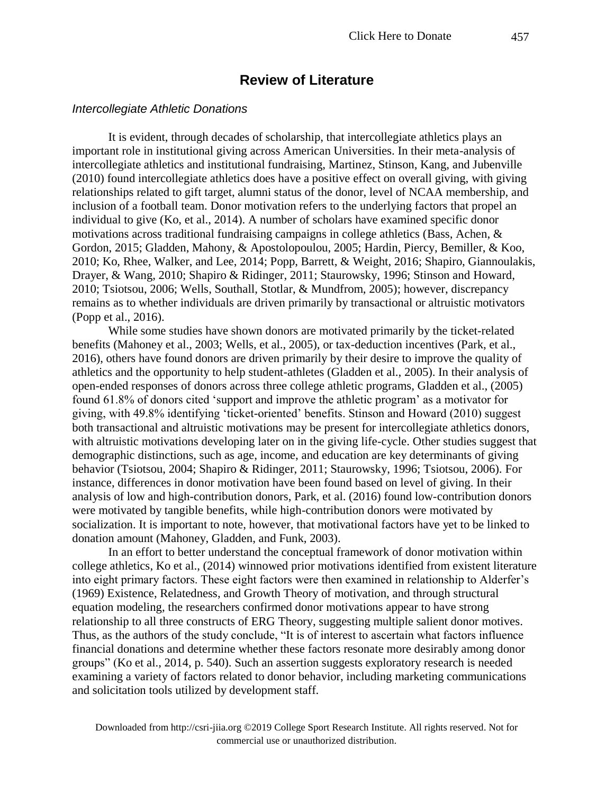## **Review of Literature**

#### *Intercollegiate Athletic Donations*

It is evident, through decades of scholarship, that intercollegiate athletics plays an important role in institutional giving across American Universities. In their meta-analysis of intercollegiate athletics and institutional fundraising, Martinez, Stinson, Kang, and Jubenville (2010) found intercollegiate athletics does have a positive effect on overall giving, with giving relationships related to gift target, alumni status of the donor, level of NCAA membership, and inclusion of a football team. Donor motivation refers to the underlying factors that propel an individual to give (Ko, et al., 2014). A number of scholars have examined specific donor motivations across traditional fundraising campaigns in college athletics (Bass, Achen, & Gordon, 2015; Gladden, Mahony, & Apostolopoulou, 2005; Hardin, Piercy, Bemiller, & Koo, 2010; Ko, Rhee, Walker, and Lee, 2014; Popp, Barrett, & Weight, 2016; Shapiro, Giannoulakis, Drayer, & Wang, 2010; Shapiro & Ridinger, 2011; Staurowsky, 1996; Stinson and Howard, 2010; Tsiotsou, 2006; Wells, Southall, Stotlar, & Mundfrom, 2005); however, discrepancy remains as to whether individuals are driven primarily by transactional or altruistic motivators (Popp et al., 2016).

While some studies have shown donors are motivated primarily by the ticket-related benefits (Mahoney et al., 2003; Wells, et al., 2005), or tax-deduction incentives (Park, et al., 2016), others have found donors are driven primarily by their desire to improve the quality of athletics and the opportunity to help student-athletes (Gladden et al., 2005). In their analysis of open-ended responses of donors across three college athletic programs, Gladden et al., (2005) found 61.8% of donors cited 'support and improve the athletic program' as a motivator for giving, with 49.8% identifying 'ticket-oriented' benefits. Stinson and Howard (2010) suggest both transactional and altruistic motivations may be present for intercollegiate athletics donors, with altruistic motivations developing later on in the giving life-cycle. Other studies suggest that demographic distinctions, such as age, income, and education are key determinants of giving behavior (Tsiotsou, 2004; Shapiro & Ridinger, 2011; Staurowsky, 1996; Tsiotsou, 2006). For instance, differences in donor motivation have been found based on level of giving. In their analysis of low and high-contribution donors, Park, et al. (2016) found low-contribution donors were motivated by tangible benefits, while high-contribution donors were motivated by socialization. It is important to note, however, that motivational factors have yet to be linked to donation amount (Mahoney, Gladden, and Funk, 2003).

In an effort to better understand the conceptual framework of donor motivation within college athletics, Ko et al., (2014) winnowed prior motivations identified from existent literature into eight primary factors. These eight factors were then examined in relationship to Alderfer's (1969) Existence, Relatedness, and Growth Theory of motivation, and through structural equation modeling, the researchers confirmed donor motivations appear to have strong relationship to all three constructs of ERG Theory, suggesting multiple salient donor motives. Thus, as the authors of the study conclude, "It is of interest to ascertain what factors influence financial donations and determine whether these factors resonate more desirably among donor groups" (Ko et al., 2014, p. 540). Such an assertion suggests exploratory research is needed examining a variety of factors related to donor behavior, including marketing communications and solicitation tools utilized by development staff.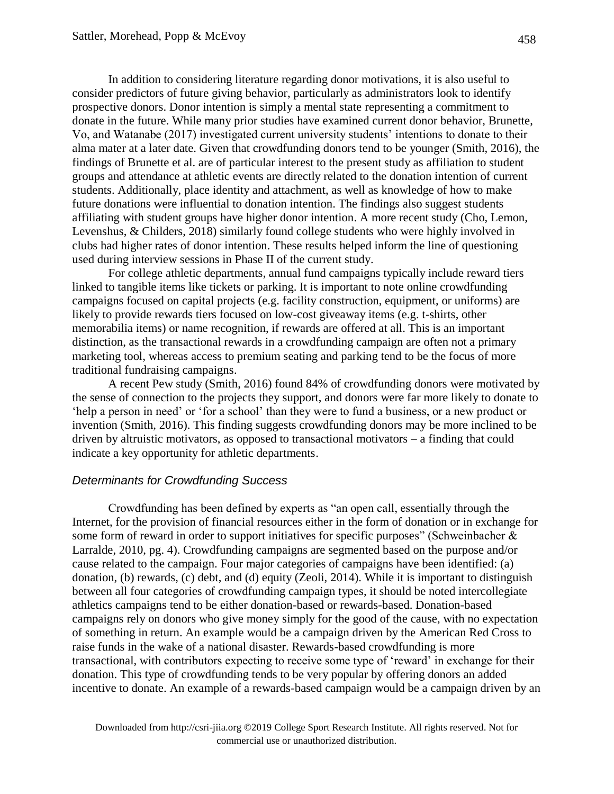In addition to considering literature regarding donor motivations, it is also useful to consider predictors of future giving behavior, particularly as administrators look to identify prospective donors. Donor intention is simply a mental state representing a commitment to donate in the future. While many prior studies have examined current donor behavior, Brunette, Vo, and Watanabe (2017) investigated current university students' intentions to donate to their alma mater at a later date. Given that crowdfunding donors tend to be younger (Smith, 2016), the findings of Brunette et al. are of particular interest to the present study as affiliation to student groups and attendance at athletic events are directly related to the donation intention of current students. Additionally, place identity and attachment, as well as knowledge of how to make future donations were influential to donation intention. The findings also suggest students affiliating with student groups have higher donor intention. A more recent study (Cho, Lemon, Levenshus, & Childers, 2018) similarly found college students who were highly involved in clubs had higher rates of donor intention. These results helped inform the line of questioning used during interview sessions in Phase II of the current study.

For college athletic departments, annual fund campaigns typically include reward tiers linked to tangible items like tickets or parking. It is important to note online crowdfunding campaigns focused on capital projects (e.g. facility construction, equipment, or uniforms) are likely to provide rewards tiers focused on low-cost giveaway items (e.g. t-shirts, other memorabilia items) or name recognition, if rewards are offered at all. This is an important distinction, as the transactional rewards in a crowdfunding campaign are often not a primary marketing tool, whereas access to premium seating and parking tend to be the focus of more traditional fundraising campaigns.

A recent Pew study (Smith, 2016) found 84% of crowdfunding donors were motivated by the sense of connection to the projects they support, and donors were far more likely to donate to 'help a person in need' or 'for a school' than they were to fund a business, or a new product or invention (Smith, 2016). This finding suggests crowdfunding donors may be more inclined to be driven by altruistic motivators, as opposed to transactional motivators – a finding that could indicate a key opportunity for athletic departments.

### *Determinants for Crowdfunding Success*

Crowdfunding has been defined by experts as "an open call, essentially through the Internet, for the provision of financial resources either in the form of donation or in exchange for some form of reward in order to support initiatives for specific purposes" (Schweinbacher & Larralde, 2010, pg. 4). Crowdfunding campaigns are segmented based on the purpose and/or cause related to the campaign. Four major categories of campaigns have been identified: (a) donation, (b) rewards, (c) debt, and (d) equity (Zeoli, 2014). While it is important to distinguish between all four categories of crowdfunding campaign types, it should be noted intercollegiate athletics campaigns tend to be either donation-based or rewards-based. Donation-based campaigns rely on donors who give money simply for the good of the cause, with no expectation of something in return. An example would be a campaign driven by the American Red Cross to raise funds in the wake of a national disaster. Rewards-based crowdfunding is more transactional, with contributors expecting to receive some type of 'reward' in exchange for their donation. This type of crowdfunding tends to be very popular by offering donors an added incentive to donate. An example of a rewards-based campaign would be a campaign driven by an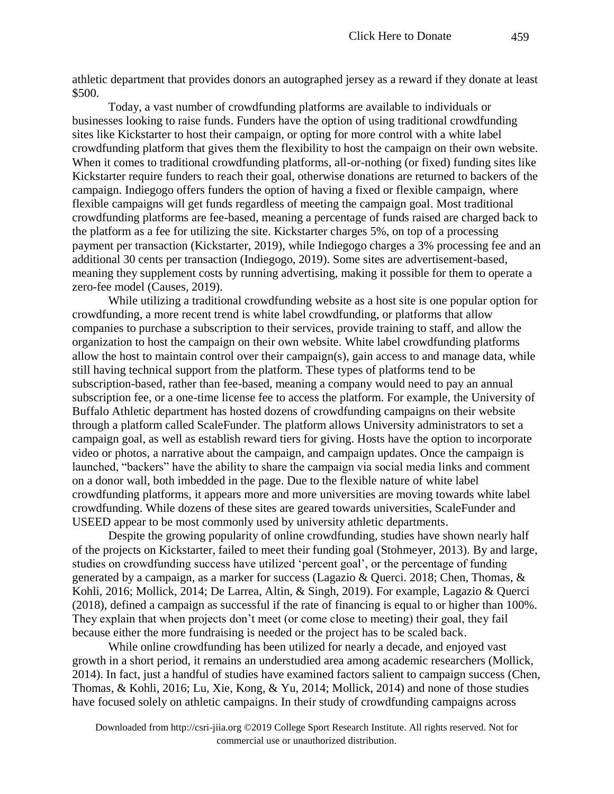athletic department that provides donors an autographed jersey as a reward if they donate at least \$500.

Today, a vast number of crowdfunding platforms are available to individuals or businesses looking to raise funds. Funders have the option of using traditional crowdfunding sites like Kickstarter to host their campaign, or opting for more control with a white label crowdfunding platform that gives them the flexibility to host the campaign on their own website. When it comes to traditional crowdfunding platforms, all-or-nothing (or fixed) funding sites like Kickstarter require funders to reach their goal, otherwise donations are returned to backers of the campaign. Indiegogo offers funders the option of having a fixed or flexible campaign, where flexible campaigns will get funds regardless of meeting the campaign goal. Most traditional crowdfunding platforms are fee-based, meaning a percentage of funds raised are charged back to the platform as a fee for utilizing the site. Kickstarter charges 5%, on top of a processing payment per transaction (Kickstarter, 2019), while Indiegogo charges a 3% processing fee and an additional 30 cents per transaction (Indiegogo, 2019). Some sites are advertisement-based, meaning they supplement costs by running advertising, making it possible for them to operate a zero-fee model (Causes, 2019).

While utilizing a traditional crowdfunding website as a host site is one popular option for crowdfunding, a more recent trend is white label crowdfunding, or platforms that allow companies to purchase a subscription to their services, provide training to staff, and allow the organization to host the campaign on their own website. White label crowdfunding platforms allow the host to maintain control over their campaign(s), gain access to and manage data, while still having technical support from the platform. These types of platforms tend to be subscription-based, rather than fee-based, meaning a company would need to pay an annual subscription fee, or a one-time license fee to access the platform. For example, the University of Buffalo Athletic department has hosted dozens of crowdfunding campaigns on their website through a platform called ScaleFunder. The platform allows University administrators to set a campaign goal, as well as establish reward tiers for giving. Hosts have the option to incorporate video or photos, a narrative about the campaign, and campaign updates. Once the campaign is launched, "backers" have the ability to share the campaign via social media links and comment on a donor wall, both imbedded in the page. Due to the flexible nature of white label crowdfunding platforms, it appears more and more universities are moving towards white label crowdfunding. While dozens of these sites are geared towards universities, ScaleFunder and USEED appear to be most commonly used by university athletic departments.

Despite the growing popularity of online crowdfunding, studies have shown nearly half of the projects on Kickstarter, failed to meet their funding goal (Stohmeyer, 2013). By and large, studies on crowdfunding success have utilized 'percent goal', or the percentage of funding generated by a campaign, as a marker for success (Lagazio & Querci. 2018; Chen, Thomas, & Kohli, 2016; Mollick, 2014; De Larrea, Altin, & Singh, 2019). For example, Lagazio & Querci (2018), defined a campaign as successful if the rate of financing is equal to or higher than 100%. They explain that when projects don't meet (or come close to meeting) their goal, they fail because either the more fundraising is needed or the project has to be scaled back.

While online crowdfunding has been utilized for nearly a decade, and enjoyed vast growth in a short period, it remains an understudied area among academic researchers (Mollick, 2014). In fact, just a handful of studies have examined factors salient to campaign success (Chen, Thomas, & Kohli, 2016; Lu, Xie, Kong, & Yu, 2014; Mollick, 2014) and none of those studies have focused solely on athletic campaigns. In their study of crowdfunding campaigns across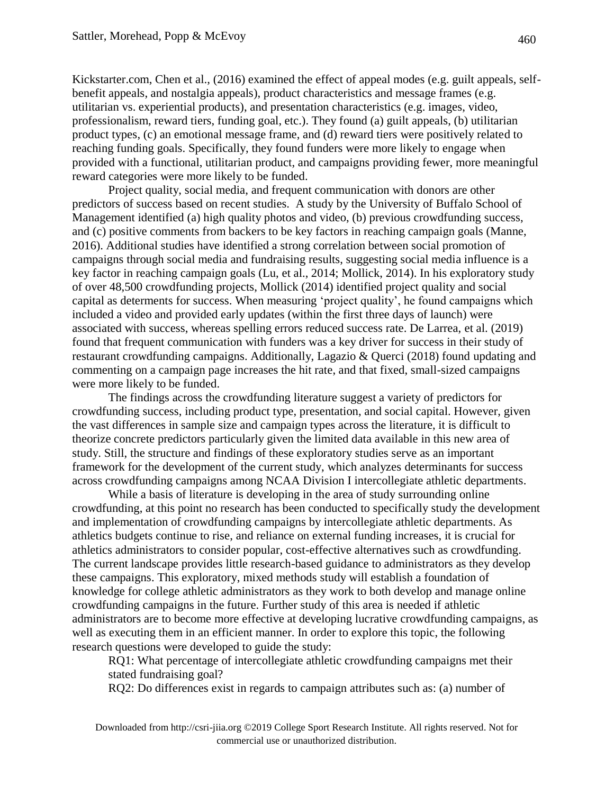Kickstarter.com, Chen et al., (2016) examined the effect of appeal modes (e.g. guilt appeals, selfbenefit appeals, and nostalgia appeals), product characteristics and message frames (e.g. utilitarian vs. experiential products), and presentation characteristics (e.g. images, video, professionalism, reward tiers, funding goal, etc.). They found (a) guilt appeals, (b) utilitarian product types, (c) an emotional message frame, and (d) reward tiers were positively related to reaching funding goals. Specifically, they found funders were more likely to engage when provided with a functional, utilitarian product, and campaigns providing fewer, more meaningful reward categories were more likely to be funded.

Project quality, social media, and frequent communication with donors are other predictors of success based on recent studies. A study by the University of Buffalo School of Management identified (a) high quality photos and video, (b) previous crowdfunding success, and (c) positive comments from backers to be key factors in reaching campaign goals (Manne, 2016). Additional studies have identified a strong correlation between social promotion of campaigns through social media and fundraising results, suggesting social media influence is a key factor in reaching campaign goals (Lu, et al., 2014; Mollick, 2014). In his exploratory study of over 48,500 crowdfunding projects, Mollick (2014) identified project quality and social capital as determents for success. When measuring 'project quality', he found campaigns which included a video and provided early updates (within the first three days of launch) were associated with success, whereas spelling errors reduced success rate. De Larrea, et al. (2019) found that frequent communication with funders was a key driver for success in their study of restaurant crowdfunding campaigns. Additionally, Lagazio & Querci (2018) found updating and commenting on a campaign page increases the hit rate, and that fixed, small-sized campaigns were more likely to be funded.

The findings across the crowdfunding literature suggest a variety of predictors for crowdfunding success, including product type, presentation, and social capital. However, given the vast differences in sample size and campaign types across the literature, it is difficult to theorize concrete predictors particularly given the limited data available in this new area of study. Still, the structure and findings of these exploratory studies serve as an important framework for the development of the current study, which analyzes determinants for success across crowdfunding campaigns among NCAA Division I intercollegiate athletic departments.

While a basis of literature is developing in the area of study surrounding online crowdfunding, at this point no research has been conducted to specifically study the development and implementation of crowdfunding campaigns by intercollegiate athletic departments. As athletics budgets continue to rise, and reliance on external funding increases, it is crucial for athletics administrators to consider popular, cost-effective alternatives such as crowdfunding. The current landscape provides little research-based guidance to administrators as they develop these campaigns. This exploratory, mixed methods study will establish a foundation of knowledge for college athletic administrators as they work to both develop and manage online crowdfunding campaigns in the future. Further study of this area is needed if athletic administrators are to become more effective at developing lucrative crowdfunding campaigns, as well as executing them in an efficient manner. In order to explore this topic, the following research questions were developed to guide the study:

RQ1: What percentage of intercollegiate athletic crowdfunding campaigns met their stated fundraising goal?

RQ2: Do differences exist in regards to campaign attributes such as: (a) number of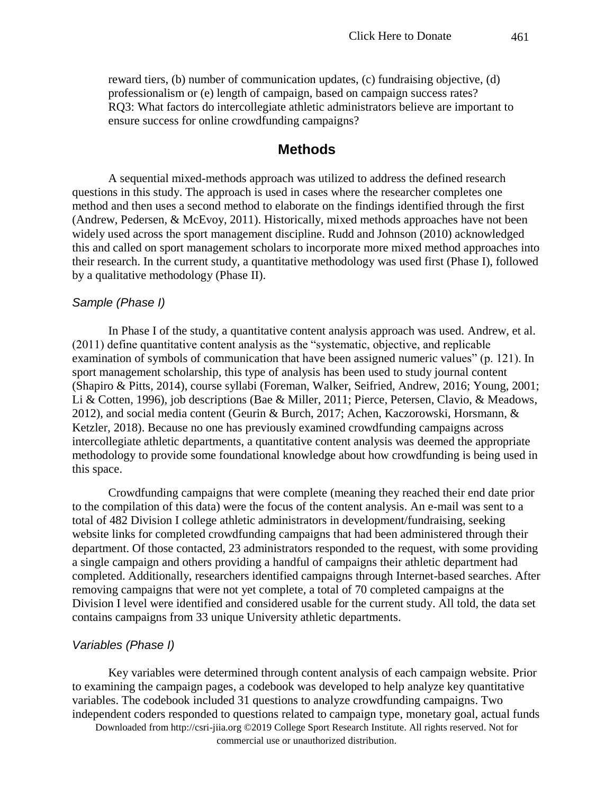reward tiers, (b) number of communication updates, (c) fundraising objective, (d) professionalism or (e) length of campaign, based on campaign success rates? RQ3: What factors do intercollegiate athletic administrators believe are important to ensure success for online crowdfunding campaigns?

#### **Methods**

A sequential mixed-methods approach was utilized to address the defined research questions in this study. The approach is used in cases where the researcher completes one method and then uses a second method to elaborate on the findings identified through the first (Andrew, Pedersen, & McEvoy, 2011). Historically, mixed methods approaches have not been widely used across the sport management discipline. Rudd and Johnson (2010) acknowledged this and called on sport management scholars to incorporate more mixed method approaches into their research. In the current study, a quantitative methodology was used first (Phase I), followed by a qualitative methodology (Phase II).

#### *Sample (Phase I)*

In Phase I of the study, a quantitative content analysis approach was used. Andrew, et al. (2011) define quantitative content analysis as the "systematic, objective, and replicable examination of symbols of communication that have been assigned numeric values" (p. 121). In sport management scholarship, this type of analysis has been used to study journal content (Shapiro & Pitts, 2014), course syllabi (Foreman, Walker, Seifried, Andrew, 2016; Young, 2001; Li & Cotten, 1996), job descriptions (Bae & Miller, 2011; Pierce, Petersen, Clavio, & Meadows, 2012), and social media content (Geurin & Burch, 2017; Achen, Kaczorowski, Horsmann, & Ketzler, 2018). Because no one has previously examined crowdfunding campaigns across intercollegiate athletic departments, a quantitative content analysis was deemed the appropriate methodology to provide some foundational knowledge about how crowdfunding is being used in this space.

Crowdfunding campaigns that were complete (meaning they reached their end date prior to the compilation of this data) were the focus of the content analysis. An e-mail was sent to a total of 482 Division I college athletic administrators in development/fundraising, seeking website links for completed crowdfunding campaigns that had been administered through their department. Of those contacted, 23 administrators responded to the request, with some providing a single campaign and others providing a handful of campaigns their athletic department had completed. Additionally, researchers identified campaigns through Internet-based searches. After removing campaigns that were not yet complete, a total of 70 completed campaigns at the Division I level were identified and considered usable for the current study. All told, the data set contains campaigns from 33 unique University athletic departments.

#### *Variables (Phase I)*

Key variables were determined through content analysis of each campaign website. Prior to examining the campaign pages, a codebook was developed to help analyze key quantitative variables. The codebook included 31 questions to analyze crowdfunding campaigns. Two independent coders responded to questions related to campaign type, monetary goal, actual funds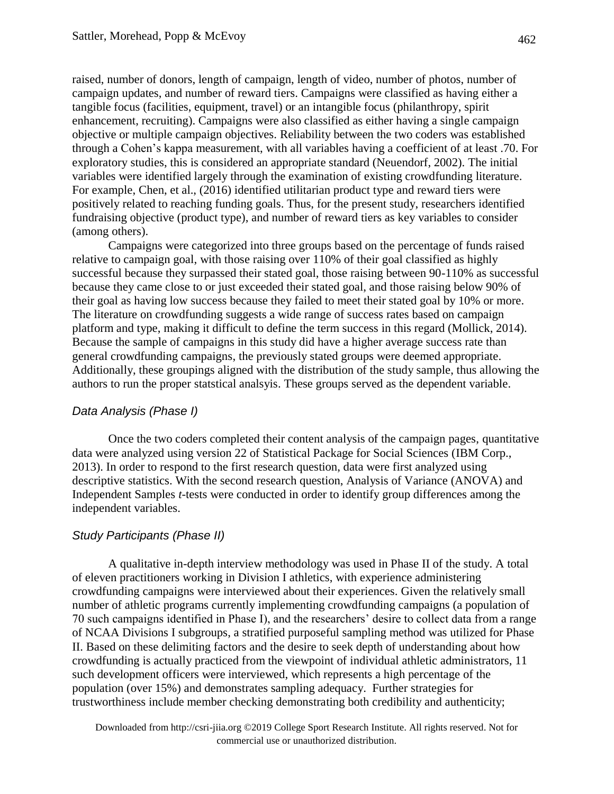raised, number of donors, length of campaign, length of video, number of photos, number of campaign updates, and number of reward tiers. Campaigns were classified as having either a tangible focus (facilities, equipment, travel) or an intangible focus (philanthropy, spirit enhancement, recruiting). Campaigns were also classified as either having a single campaign objective or multiple campaign objectives. Reliability between the two coders was established through a Cohen's kappa measurement, with all variables having a coefficient of at least .70. For exploratory studies, this is considered an appropriate standard (Neuendorf, 2002). The initial variables were identified largely through the examination of existing crowdfunding literature. For example, Chen, et al., (2016) identified utilitarian product type and reward tiers were positively related to reaching funding goals. Thus, for the present study, researchers identified fundraising objective (product type), and number of reward tiers as key variables to consider (among others).

Campaigns were categorized into three groups based on the percentage of funds raised relative to campaign goal, with those raising over 110% of their goal classified as highly successful because they surpassed their stated goal, those raising between 90-110% as successful because they came close to or just exceeded their stated goal, and those raising below 90% of their goal as having low success because they failed to meet their stated goal by 10% or more. The literature on crowdfunding suggests a wide range of success rates based on campaign platform and type, making it difficult to define the term success in this regard (Mollick, 2014). Because the sample of campaigns in this study did have a higher average success rate than general crowdfunding campaigns, the previously stated groups were deemed appropriate. Additionally, these groupings aligned with the distribution of the study sample, thus allowing the authors to run the proper statstical analsyis. These groups served as the dependent variable.

#### *Data Analysis (Phase I)*

Once the two coders completed their content analysis of the campaign pages, quantitative data were analyzed using version 22 of Statistical Package for Social Sciences (IBM Corp., 2013). In order to respond to the first research question, data were first analyzed using descriptive statistics. With the second research question, Analysis of Variance (ANOVA) and Independent Samples *t*-tests were conducted in order to identify group differences among the independent variables.

#### *Study Participants (Phase II)*

A qualitative in-depth interview methodology was used in Phase II of the study. A total of eleven practitioners working in Division I athletics, with experience administering crowdfunding campaigns were interviewed about their experiences. Given the relatively small number of athletic programs currently implementing crowdfunding campaigns (a population of 70 such campaigns identified in Phase I), and the researchers' desire to collect data from a range of NCAA Divisions I subgroups, a stratified purposeful sampling method was utilized for Phase II. Based on these delimiting factors and the desire to seek depth of understanding about how crowdfunding is actually practiced from the viewpoint of individual athletic administrators, 11 such development officers were interviewed, which represents a high percentage of the population (over 15%) and demonstrates sampling adequacy. Further strategies for trustworthiness include member checking demonstrating both credibility and authenticity;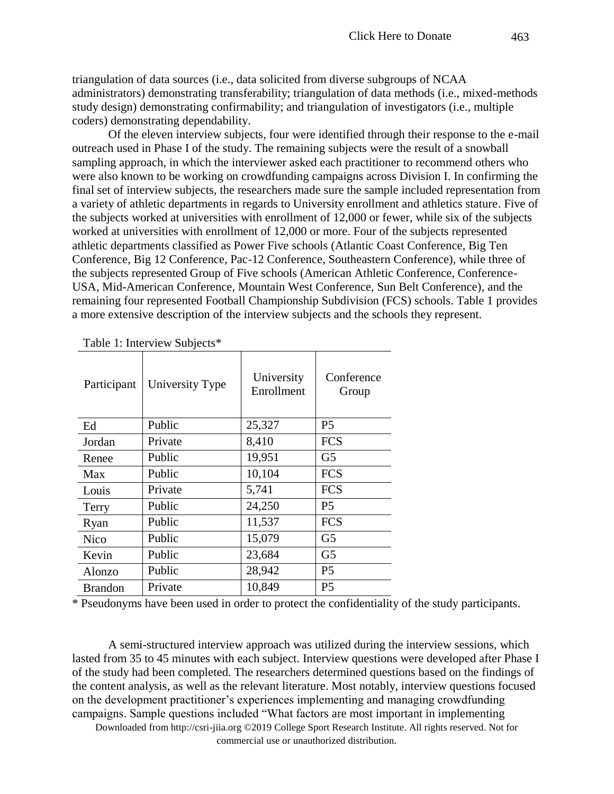triangulation of data sources (i.e., data solicited from diverse subgroups of NCAA administrators) demonstrating transferability; triangulation of data methods (i.e., mixed-methods study design) demonstrating confirmability; and triangulation of investigators (i.e., multiple coders) demonstrating dependability.

Of the eleven interview subjects, four were identified through their response to the e-mail outreach used in Phase I of the study. The remaining subjects were the result of a snowball sampling approach, in which the interviewer asked each practitioner to recommend others who were also known to be working on crowdfunding campaigns across Division I. In confirming the final set of interview subjects, the researchers made sure the sample included representation from a variety of athletic departments in regards to University enrollment and athletics stature. Five of the subjects worked at universities with enrollment of 12,000 or fewer, while six of the subjects worked at universities with enrollment of 12,000 or more. Four of the subjects represented athletic departments classified as Power Five schools (Atlantic Coast Conference, Big Ten Conference, Big 12 Conference, Pac-12 Conference, Southeastern Conference), while three of the subjects represented Group of Five schools (American Athletic Conference, Conference-USA, Mid-American Conference, Mountain West Conference, Sun Belt Conference), and the remaining four represented Football Championship Subdivision (FCS) schools. Table 1 provides a more extensive description of the interview subjects and the schools they represent.

| Participant    | University Type | University<br>Enrollment | Conference<br>Group |
|----------------|-----------------|--------------------------|---------------------|
| Ed             | Public          | 25,327                   | P <sub>5</sub>      |
| Jordan         | Private         | 8,410                    | <b>FCS</b>          |
| Renee          | Public          | 19,951                   | G5                  |
| Max            | Public          | 10,104                   | <b>FCS</b>          |
| Louis          | Private         | 5,741                    | <b>FCS</b>          |
| Terry          | Public          | 24,250                   | P <sub>5</sub>      |
| Ryan           | Public          | 11,537                   | <b>FCS</b>          |
| <b>Nico</b>    | Public          | 15,079                   | G <sub>5</sub>      |
| Kevin          | Public          | 23,684                   | G <sub>5</sub>      |
| Alonzo         | Public          | 28,942                   | P <sub>5</sub>      |
| <b>Brandon</b> | Private         | 10,849                   | P <sub>5</sub>      |

Table 1: Interview Subjects\*

\* Pseudonyms have been used in order to protect the confidentiality of the study participants.

A semi-structured interview approach was utilized during the interview sessions, which lasted from 35 to 45 minutes with each subject. Interview questions were developed after Phase I of the study had been completed. The researchers determined questions based on the findings of the content analysis, as well as the relevant literature. Most notably, interview questions focused on the development practitioner's experiences implementing and managing crowdfunding campaigns. Sample questions included "What factors are most important in implementing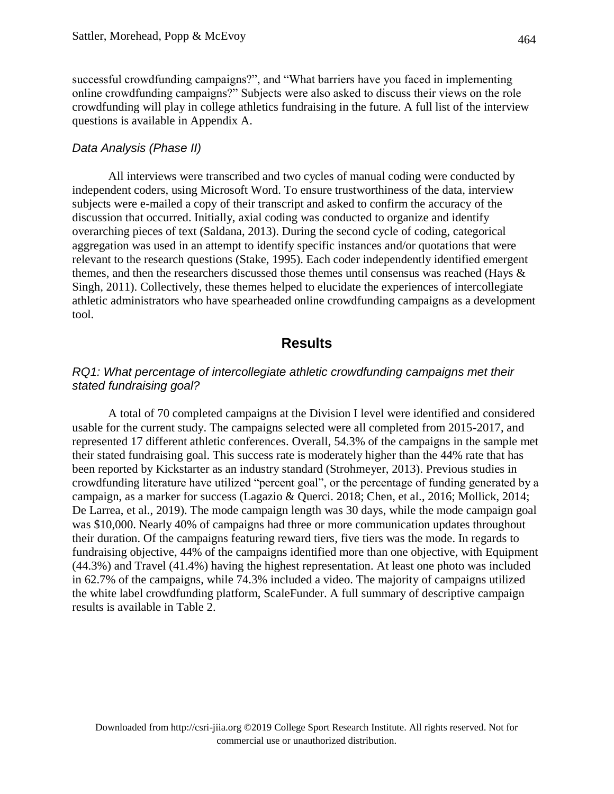successful crowdfunding campaigns?", and "What barriers have you faced in implementing online crowdfunding campaigns?" Subjects were also asked to discuss their views on the role crowdfunding will play in college athletics fundraising in the future. A full list of the interview questions is available in Appendix A.

#### *Data Analysis (Phase II)*

All interviews were transcribed and two cycles of manual coding were conducted by independent coders, using Microsoft Word. To ensure trustworthiness of the data, interview subjects were e-mailed a copy of their transcript and asked to confirm the accuracy of the discussion that occurred. Initially, axial coding was conducted to organize and identify overarching pieces of text (Saldana, 2013). During the second cycle of coding, categorical aggregation was used in an attempt to identify specific instances and/or quotations that were relevant to the research questions (Stake, 1995). Each coder independently identified emergent themes, and then the researchers discussed those themes until consensus was reached (Hays & Singh, 2011). Collectively, these themes helped to elucidate the experiences of intercollegiate athletic administrators who have spearheaded online crowdfunding campaigns as a development tool.

## **Results**

#### *RQ1: What percentage of intercollegiate athletic crowdfunding campaigns met their stated fundraising goal?*

A total of 70 completed campaigns at the Division I level were identified and considered usable for the current study. The campaigns selected were all completed from 2015-2017, and represented 17 different athletic conferences. Overall, 54.3% of the campaigns in the sample met their stated fundraising goal. This success rate is moderately higher than the 44% rate that has been reported by Kickstarter as an industry standard (Strohmeyer, 2013). Previous studies in crowdfunding literature have utilized "percent goal", or the percentage of funding generated by a campaign, as a marker for success (Lagazio & Querci. 2018; Chen, et al., 2016; Mollick, 2014; De Larrea, et al., 2019). The mode campaign length was 30 days, while the mode campaign goal was \$10,000. Nearly 40% of campaigns had three or more communication updates throughout their duration. Of the campaigns featuring reward tiers, five tiers was the mode. In regards to fundraising objective, 44% of the campaigns identified more than one objective, with Equipment (44.3%) and Travel (41.4%) having the highest representation. At least one photo was included in 62.7% of the campaigns, while 74.3% included a video. The majority of campaigns utilized the white label crowdfunding platform, ScaleFunder. A full summary of descriptive campaign results is available in Table 2.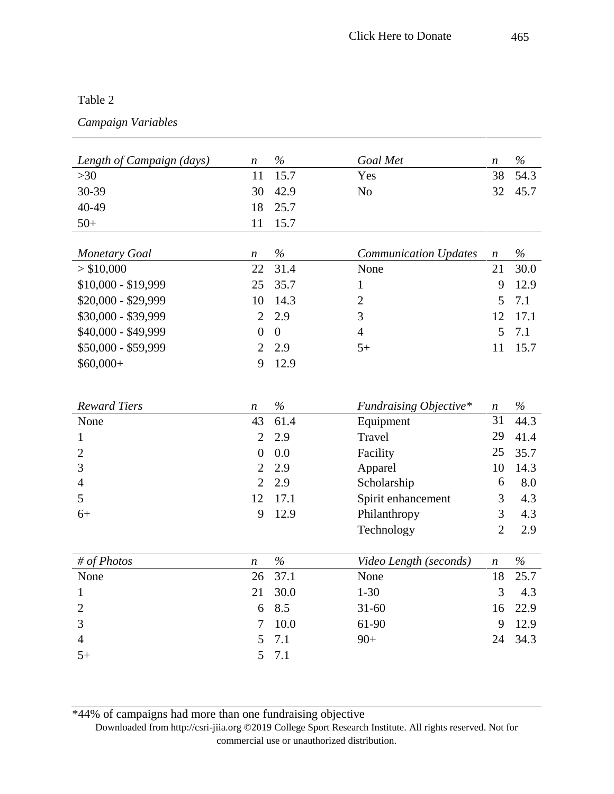#### Table 2

## *Campaign Variables*

| Length of Campaign (days) | $\boldsymbol{n}$                 | $\%$             | Goal Met                      | $\boldsymbol{n}$       | $\%$        |
|---------------------------|----------------------------------|------------------|-------------------------------|------------------------|-------------|
| $>30$                     | 11                               | 15.7             | Yes                           | 38                     | 54.3        |
| 30-39                     | 30                               | 42.9             | N <sub>o</sub>                | 32                     | 45.7        |
| 40-49                     | 18                               | 25.7             |                               |                        |             |
| $50+$                     | 11                               | 15.7             |                               |                        |             |
|                           |                                  |                  |                               |                        |             |
| <b>Monetary Goal</b>      | $\boldsymbol{n}$                 | $\%$             | <b>Communication Updates</b>  | $\boldsymbol{n}$       | $\%$        |
| > \$10,000                | 22                               | 31.4             | None                          | 21                     | 30.0        |
| \$10,000 - \$19,999       | 25                               | 35.7             | $\mathbf{1}$                  | 9                      | 12.9        |
| \$20,000 - \$29,999       | 10                               | 14.3             | $\overline{c}$                | 5                      | 7.1         |
| \$30,000 - \$39,999       | $\overline{2}$                   | 2.9              | 3                             | 12                     | 17.1        |
| \$40,000 - \$49,999       | $\boldsymbol{0}$                 | $\boldsymbol{0}$ | $\overline{4}$                | 5                      | 7.1         |
| \$50,000 - \$59,999       | $\mathbf{2}$                     | 2.9              | $5+$                          | 11                     | 15.7        |
| $$60,000+$                | 9                                | 12.9             |                               |                        |             |
|                           |                                  |                  |                               |                        |             |
|                           |                                  |                  |                               |                        |             |
| <b>Reward Tiers</b>       | $\boldsymbol{n}$                 | $\%$             | <b>Fundraising Objective*</b> | $\boldsymbol{n}$<br>31 | $\%$        |
| None                      | 43                               | 61.4             | Equipment                     |                        | 44.3        |
| 1                         | $\overline{2}$                   | 2.9              | Travel                        | 29                     | 41.4        |
| $\overline{c}$            | $\boldsymbol{0}$                 | 0.0              | Facility                      | 25                     | 35.7        |
| 3                         | $\overline{2}$<br>$\overline{2}$ | 2.9              | Apparel                       | 10<br>6                | 14.3<br>8.0 |
| 4<br>5                    | 12                               | 2.9              | Scholarship                   |                        |             |
|                           |                                  | 17.1             | Spirit enhancement            | 3                      | 4.3         |
| $6+$                      | 9                                | 12.9             | Philanthropy                  | 3                      | 4.3         |
|                           |                                  |                  | Technology                    | $\overline{2}$         | 2.9         |
| # of Photos               | $\boldsymbol{n}$                 | $\%$             | Video Length (seconds)        | $\boldsymbol{n}$       | $\%$        |
| None                      | 26                               | 37.1             | None                          | 18                     | 25.7        |
| $\mathbf{1}$              | 21                               | 30.0             | $1 - 30$                      | 3                      | 4.3         |
| $\boldsymbol{2}$          | 6                                | 8.5              | $31 - 60$                     | 16                     | 22.9        |
| 3                         | $\overline{7}$                   | 10.0             | 61-90                         | 9                      | 12.9        |
| $\overline{4}$            | 5                                | 7.1              | $90+$                         |                        | 24 34.3     |
| $5+$                      | 5                                | 7.1              |                               |                        |             |
|                           |                                  |                  |                               |                        |             |

Downloaded from http://csri-jiia.org ©2019 College Sport Research Institute. All rights reserved. Not for commercial use or unauthorized distribution. \*44% of campaigns had more than one fundraising objective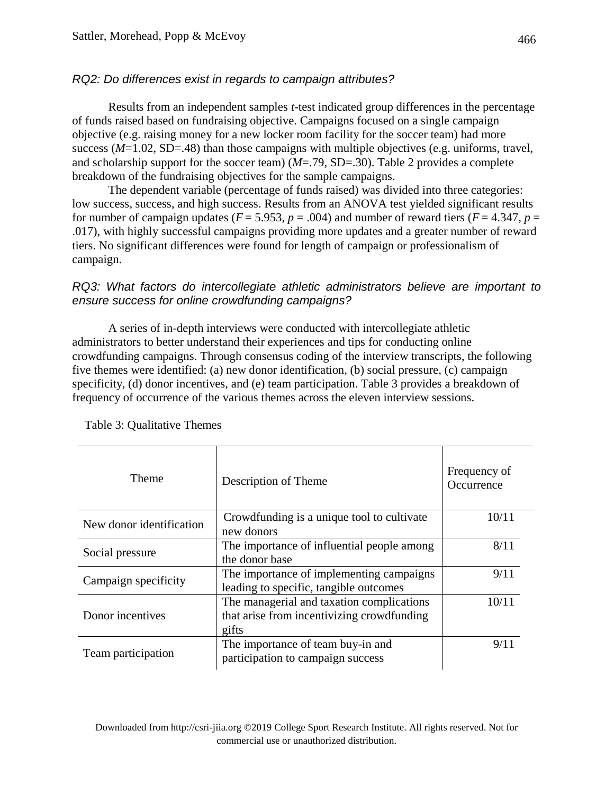## *RQ2: Do differences exist in regards to campaign attributes?*

Results from an independent samples *t*-test indicated group differences in the percentage of funds raised based on fundraising objective. Campaigns focused on a single campaign objective (e.g. raising money for a new locker room facility for the soccer team) had more success (*M*=1.02, SD=.48) than those campaigns with multiple objectives (e.g. uniforms, travel, and scholarship support for the soccer team) (*M*=.79, SD=.30). Table 2 provides a complete breakdown of the fundraising objectives for the sample campaigns.

The dependent variable (percentage of funds raised) was divided into three categories: low success, success, and high success. Results from an ANOVA test yielded significant results for number of campaign updates ( $F = 5.953$ ,  $p = .004$ ) and number of reward tiers ( $F = 4.347$ ,  $p =$ .017), with highly successful campaigns providing more updates and a greater number of reward tiers. No significant differences were found for length of campaign or professionalism of campaign.

#### *RQ3: What factors do intercollegiate athletic administrators believe are important to ensure success for online crowdfunding campaigns?*

A series of in-depth interviews were conducted with intercollegiate athletic administrators to better understand their experiences and tips for conducting online crowdfunding campaigns. Through consensus coding of the interview transcripts, the following five themes were identified: (a) new donor identification, (b) social pressure, (c) campaign specificity, (d) donor incentives, and (e) team participation. Table 3 provides a breakdown of frequency of occurrence of the various themes across the eleven interview sessions.

| <b>Theme</b>                                                                                               | Description of Theme                                                                             | Frequency of<br>Occurrence |
|------------------------------------------------------------------------------------------------------------|--------------------------------------------------------------------------------------------------|----------------------------|
| New donor identification                                                                                   | Crowdfunding is a unique tool to cultivate<br>new donors                                         | 10/11                      |
| The importance of influential people among<br>Social pressure<br>the donor base                            |                                                                                                  | 8/11                       |
| The importance of implementing campaigns<br>Campaign specificity<br>leading to specific, tangible outcomes |                                                                                                  | 9/11                       |
| Donor incentives                                                                                           | The managerial and taxation complications<br>that arise from incentivizing crowdfunding<br>gifts | 10/11                      |
| Team participation                                                                                         | The importance of team buy-in and<br>participation to campaign success                           | 9/11                       |

Table 3: Qualitative Themes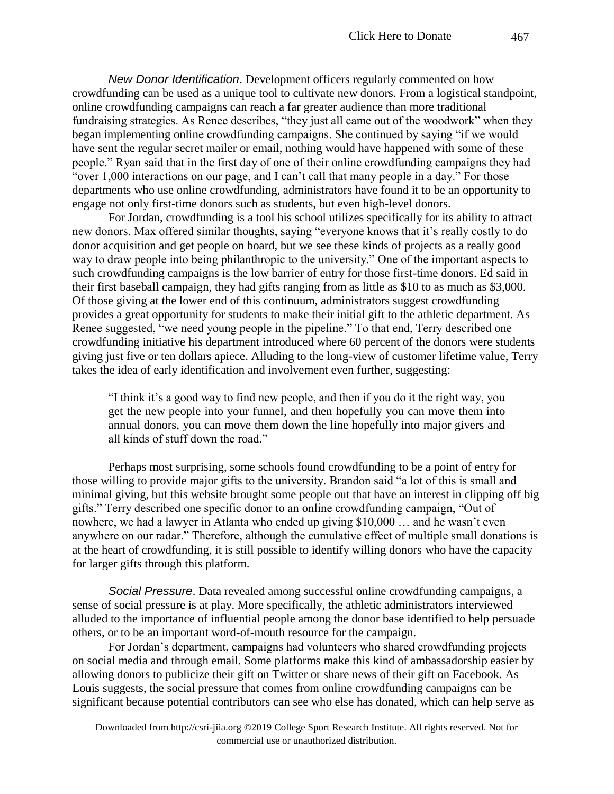*New Donor Identification*. Development officers regularly commented on how crowdfunding can be used as a unique tool to cultivate new donors. From a logistical standpoint, online crowdfunding campaigns can reach a far greater audience than more traditional fundraising strategies. As Renee describes, "they just all came out of the woodwork" when they began implementing online crowdfunding campaigns. She continued by saying "if we would have sent the regular secret mailer or email, nothing would have happened with some of these people." Ryan said that in the first day of one of their online crowdfunding campaigns they had "over 1,000 interactions on our page, and I can't call that many people in a day." For those departments who use online crowdfunding, administrators have found it to be an opportunity to engage not only first-time donors such as students, but even high-level donors.

For Jordan, crowdfunding is a tool his school utilizes specifically for its ability to attract new donors. Max offered similar thoughts, saying "everyone knows that it's really costly to do donor acquisition and get people on board, but we see these kinds of projects as a really good way to draw people into being philanthropic to the university." One of the important aspects to such crowdfunding campaigns is the low barrier of entry for those first-time donors. Ed said in their first baseball campaign, they had gifts ranging from as little as \$10 to as much as \$3,000. Of those giving at the lower end of this continuum, administrators suggest crowdfunding provides a great opportunity for students to make their initial gift to the athletic department. As Renee suggested, "we need young people in the pipeline." To that end, Terry described one crowdfunding initiative his department introduced where 60 percent of the donors were students giving just five or ten dollars apiece. Alluding to the long-view of customer lifetime value, Terry takes the idea of early identification and involvement even further, suggesting:

"I think it's a good way to find new people, and then if you do it the right way, you get the new people into your funnel, and then hopefully you can move them into annual donors, you can move them down the line hopefully into major givers and all kinds of stuff down the road."

Perhaps most surprising, some schools found crowdfunding to be a point of entry for those willing to provide major gifts to the university. Brandon said "a lot of this is small and minimal giving, but this website brought some people out that have an interest in clipping off big gifts." Terry described one specific donor to an online crowdfunding campaign, "Out of nowhere, we had a lawyer in Atlanta who ended up giving \$10,000 … and he wasn't even anywhere on our radar." Therefore, although the cumulative effect of multiple small donations is at the heart of crowdfunding, it is still possible to identify willing donors who have the capacity for larger gifts through this platform.

*Social Pressure*. Data revealed among successful online crowdfunding campaigns, a sense of social pressure is at play. More specifically, the athletic administrators interviewed alluded to the importance of influential people among the donor base identified to help persuade others, or to be an important word-of-mouth resource for the campaign.

For Jordan's department, campaigns had volunteers who shared crowdfunding projects on social media and through email. Some platforms make this kind of ambassadorship easier by allowing donors to publicize their gift on Twitter or share news of their gift on Facebook. As Louis suggests, the social pressure that comes from online crowdfunding campaigns can be significant because potential contributors can see who else has donated, which can help serve as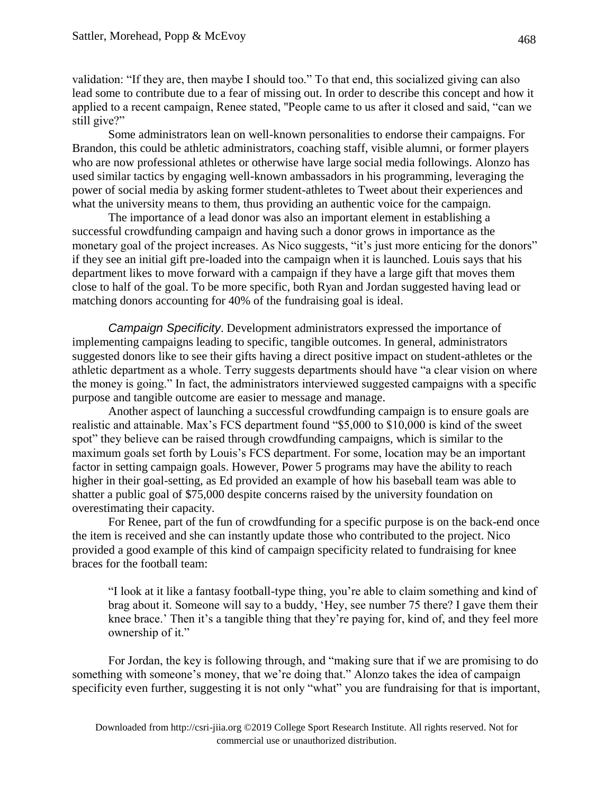validation: "If they are, then maybe I should too." To that end, this socialized giving can also lead some to contribute due to a fear of missing out. In order to describe this concept and how it applied to a recent campaign, Renee stated, "People came to us after it closed and said, "can we still give?"

Some administrators lean on well-known personalities to endorse their campaigns. For Brandon, this could be athletic administrators, coaching staff, visible alumni, or former players who are now professional athletes or otherwise have large social media followings. Alonzo has used similar tactics by engaging well-known ambassadors in his programming, leveraging the power of social media by asking former student-athletes to Tweet about their experiences and what the university means to them, thus providing an authentic voice for the campaign.

The importance of a lead donor was also an important element in establishing a successful crowdfunding campaign and having such a donor grows in importance as the monetary goal of the project increases. As Nico suggests, "it's just more enticing for the donors" if they see an initial gift pre-loaded into the campaign when it is launched. Louis says that his department likes to move forward with a campaign if they have a large gift that moves them close to half of the goal. To be more specific, both Ryan and Jordan suggested having lead or matching donors accounting for 40% of the fundraising goal is ideal.

*Campaign Specificity*. Development administrators expressed the importance of implementing campaigns leading to specific, tangible outcomes. In general, administrators suggested donors like to see their gifts having a direct positive impact on student-athletes or the athletic department as a whole. Terry suggests departments should have "a clear vision on where the money is going." In fact, the administrators interviewed suggested campaigns with a specific purpose and tangible outcome are easier to message and manage.

Another aspect of launching a successful crowdfunding campaign is to ensure goals are realistic and attainable. Max's FCS department found "\$5,000 to \$10,000 is kind of the sweet spot" they believe can be raised through crowdfunding campaigns, which is similar to the maximum goals set forth by Louis's FCS department. For some, location may be an important factor in setting campaign goals. However, Power 5 programs may have the ability to reach higher in their goal-setting, as Ed provided an example of how his baseball team was able to shatter a public goal of \$75,000 despite concerns raised by the university foundation on overestimating their capacity.

For Renee, part of the fun of crowdfunding for a specific purpose is on the back-end once the item is received and she can instantly update those who contributed to the project. Nico provided a good example of this kind of campaign specificity related to fundraising for knee braces for the football team:

"I look at it like a fantasy football-type thing, you're able to claim something and kind of brag about it. Someone will say to a buddy, 'Hey, see number 75 there? I gave them their knee brace.' Then it's a tangible thing that they're paying for, kind of, and they feel more ownership of it."

For Jordan, the key is following through, and "making sure that if we are promising to do something with someone's money, that we're doing that." Alonzo takes the idea of campaign specificity even further, suggesting it is not only "what" you are fundraising for that is important,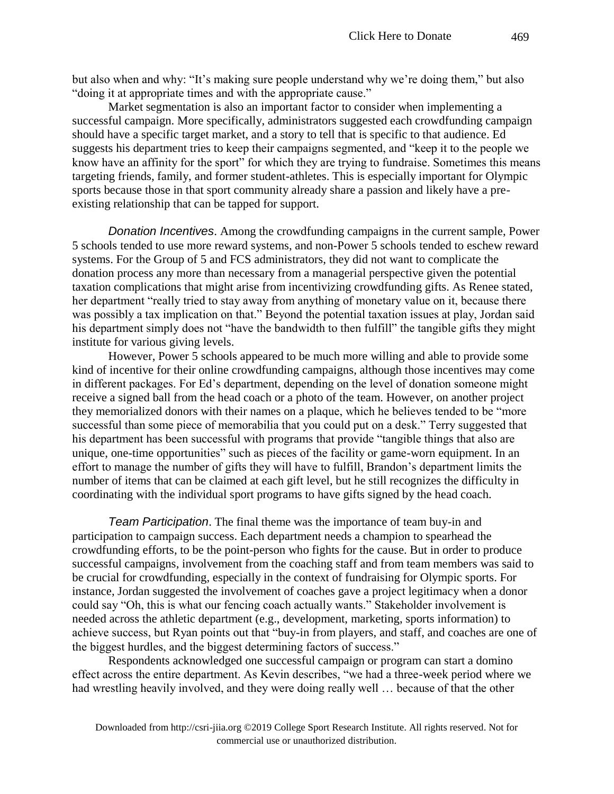Market segmentation is also an important factor to consider when implementing a successful campaign. More specifically, administrators suggested each crowdfunding campaign should have a specific target market, and a story to tell that is specific to that audience. Ed suggests his department tries to keep their campaigns segmented, and "keep it to the people we know have an affinity for the sport" for which they are trying to fundraise. Sometimes this means targeting friends, family, and former student-athletes. This is especially important for Olympic sports because those in that sport community already share a passion and likely have a preexisting relationship that can be tapped for support.

*Donation Incentives*. Among the crowdfunding campaigns in the current sample, Power 5 schools tended to use more reward systems, and non-Power 5 schools tended to eschew reward systems. For the Group of 5 and FCS administrators, they did not want to complicate the donation process any more than necessary from a managerial perspective given the potential taxation complications that might arise from incentivizing crowdfunding gifts. As Renee stated, her department "really tried to stay away from anything of monetary value on it, because there was possibly a tax implication on that." Beyond the potential taxation issues at play, Jordan said his department simply does not "have the bandwidth to then fulfill" the tangible gifts they might institute for various giving levels.

However, Power 5 schools appeared to be much more willing and able to provide some kind of incentive for their online crowdfunding campaigns, although those incentives may come in different packages. For Ed's department, depending on the level of donation someone might receive a signed ball from the head coach or a photo of the team. However, on another project they memorialized donors with their names on a plaque, which he believes tended to be "more successful than some piece of memorabilia that you could put on a desk." Terry suggested that his department has been successful with programs that provide "tangible things that also are unique, one-time opportunities" such as pieces of the facility or game-worn equipment. In an effort to manage the number of gifts they will have to fulfill, Brandon's department limits the number of items that can be claimed at each gift level, but he still recognizes the difficulty in coordinating with the individual sport programs to have gifts signed by the head coach.

*Team Participation*. The final theme was the importance of team buy-in and participation to campaign success. Each department needs a champion to spearhead the crowdfunding efforts, to be the point-person who fights for the cause. But in order to produce successful campaigns, involvement from the coaching staff and from team members was said to be crucial for crowdfunding, especially in the context of fundraising for Olympic sports. For instance, Jordan suggested the involvement of coaches gave a project legitimacy when a donor could say "Oh, this is what our fencing coach actually wants." Stakeholder involvement is needed across the athletic department (e.g., development, marketing, sports information) to achieve success, but Ryan points out that "buy-in from players, and staff, and coaches are one of the biggest hurdles, and the biggest determining factors of success."

Respondents acknowledged one successful campaign or program can start a domino effect across the entire department. As Kevin describes, "we had a three-week period where we had wrestling heavily involved, and they were doing really well … because of that the other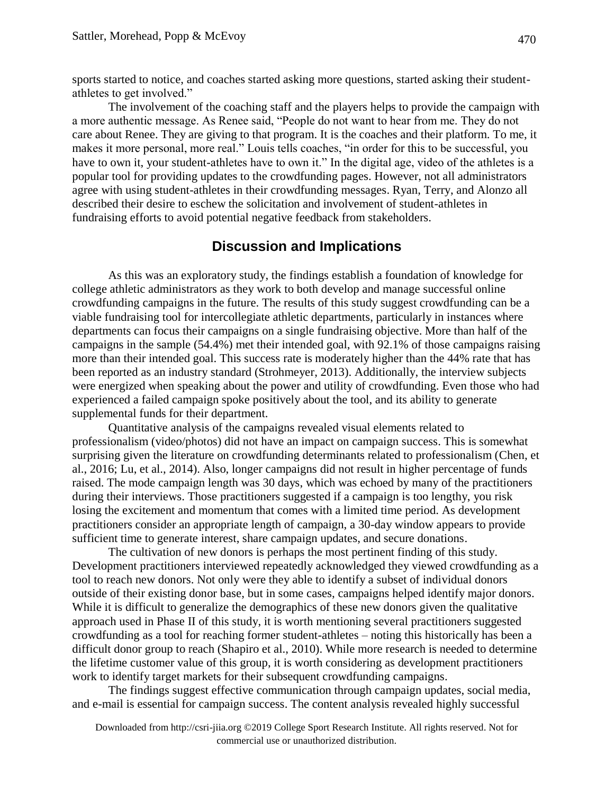sports started to notice, and coaches started asking more questions, started asking their studentathletes to get involved."

The involvement of the coaching staff and the players helps to provide the campaign with a more authentic message. As Renee said, "People do not want to hear from me. They do not care about Renee. They are giving to that program. It is the coaches and their platform. To me, it makes it more personal, more real." Louis tells coaches, "in order for this to be successful, you have to own it, your student-athletes have to own it." In the digital age, video of the athletes is a popular tool for providing updates to the crowdfunding pages. However, not all administrators agree with using student-athletes in their crowdfunding messages. Ryan, Terry, and Alonzo all described their desire to eschew the solicitation and involvement of student-athletes in fundraising efforts to avoid potential negative feedback from stakeholders.

### **Discussion and Implications**

As this was an exploratory study, the findings establish a foundation of knowledge for college athletic administrators as they work to both develop and manage successful online crowdfunding campaigns in the future. The results of this study suggest crowdfunding can be a viable fundraising tool for intercollegiate athletic departments, particularly in instances where departments can focus their campaigns on a single fundraising objective. More than half of the campaigns in the sample (54.4%) met their intended goal, with 92.1% of those campaigns raising more than their intended goal. This success rate is moderately higher than the 44% rate that has been reported as an industry standard (Strohmeyer, 2013). Additionally, the interview subjects were energized when speaking about the power and utility of crowdfunding. Even those who had experienced a failed campaign spoke positively about the tool, and its ability to generate supplemental funds for their department.

Quantitative analysis of the campaigns revealed visual elements related to professionalism (video/photos) did not have an impact on campaign success. This is somewhat surprising given the literature on crowdfunding determinants related to professionalism (Chen, et al., 2016; Lu, et al., 2014). Also, longer campaigns did not result in higher percentage of funds raised. The mode campaign length was 30 days, which was echoed by many of the practitioners during their interviews. Those practitioners suggested if a campaign is too lengthy, you risk losing the excitement and momentum that comes with a limited time period. As development practitioners consider an appropriate length of campaign, a 30-day window appears to provide sufficient time to generate interest, share campaign updates, and secure donations.

The cultivation of new donors is perhaps the most pertinent finding of this study. Development practitioners interviewed repeatedly acknowledged they viewed crowdfunding as a tool to reach new donors. Not only were they able to identify a subset of individual donors outside of their existing donor base, but in some cases, campaigns helped identify major donors. While it is difficult to generalize the demographics of these new donors given the qualitative approach used in Phase II of this study, it is worth mentioning several practitioners suggested crowdfunding as a tool for reaching former student-athletes – noting this historically has been a difficult donor group to reach (Shapiro et al., 2010). While more research is needed to determine the lifetime customer value of this group, it is worth considering as development practitioners work to identify target markets for their subsequent crowdfunding campaigns.

The findings suggest effective communication through campaign updates, social media, and e-mail is essential for campaign success. The content analysis revealed highly successful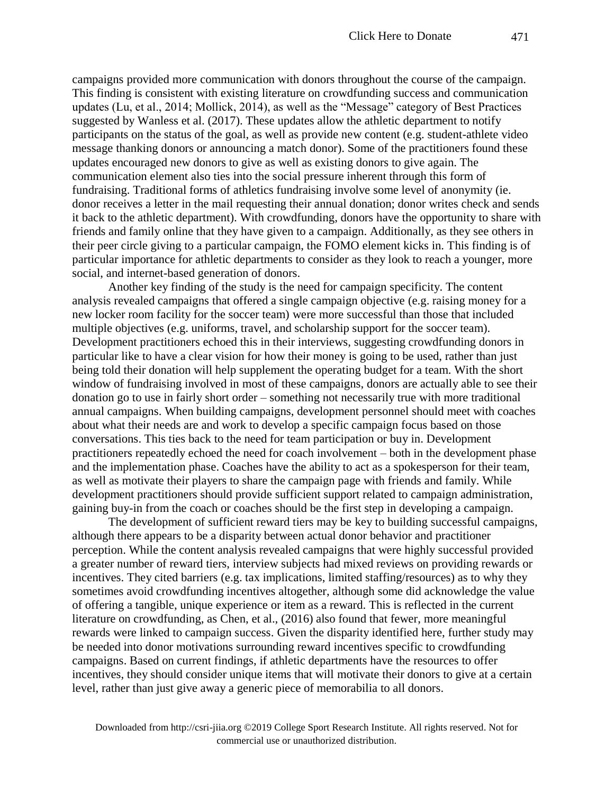campaigns provided more communication with donors throughout the course of the campaign. This finding is consistent with existing literature on crowdfunding success and communication updates (Lu, et al., 2014; Mollick, 2014), as well as the "Message" category of Best Practices suggested by Wanless et al. (2017). These updates allow the athletic department to notify participants on the status of the goal, as well as provide new content (e.g. student-athlete video message thanking donors or announcing a match donor). Some of the practitioners found these updates encouraged new donors to give as well as existing donors to give again. The communication element also ties into the social pressure inherent through this form of fundraising. Traditional forms of athletics fundraising involve some level of anonymity (ie. donor receives a letter in the mail requesting their annual donation; donor writes check and sends it back to the athletic department). With crowdfunding, donors have the opportunity to share with friends and family online that they have given to a campaign. Additionally, as they see others in their peer circle giving to a particular campaign, the FOMO element kicks in. This finding is of particular importance for athletic departments to consider as they look to reach a younger, more social, and internet-based generation of donors.

Another key finding of the study is the need for campaign specificity. The content analysis revealed campaigns that offered a single campaign objective (e.g. raising money for a new locker room facility for the soccer team) were more successful than those that included multiple objectives (e.g. uniforms, travel, and scholarship support for the soccer team). Development practitioners echoed this in their interviews, suggesting crowdfunding donors in particular like to have a clear vision for how their money is going to be used, rather than just being told their donation will help supplement the operating budget for a team. With the short window of fundraising involved in most of these campaigns, donors are actually able to see their donation go to use in fairly short order – something not necessarily true with more traditional annual campaigns. When building campaigns, development personnel should meet with coaches about what their needs are and work to develop a specific campaign focus based on those conversations. This ties back to the need for team participation or buy in. Development practitioners repeatedly echoed the need for coach involvement – both in the development phase and the implementation phase. Coaches have the ability to act as a spokesperson for their team, as well as motivate their players to share the campaign page with friends and family. While development practitioners should provide sufficient support related to campaign administration, gaining buy-in from the coach or coaches should be the first step in developing a campaign.

The development of sufficient reward tiers may be key to building successful campaigns, although there appears to be a disparity between actual donor behavior and practitioner perception. While the content analysis revealed campaigns that were highly successful provided a greater number of reward tiers, interview subjects had mixed reviews on providing rewards or incentives. They cited barriers (e.g. tax implications, limited staffing/resources) as to why they sometimes avoid crowdfunding incentives altogether, although some did acknowledge the value of offering a tangible, unique experience or item as a reward. This is reflected in the current literature on crowdfunding, as Chen, et al., (2016) also found that fewer, more meaningful rewards were linked to campaign success. Given the disparity identified here, further study may be needed into donor motivations surrounding reward incentives specific to crowdfunding campaigns. Based on current findings, if athletic departments have the resources to offer incentives, they should consider unique items that will motivate their donors to give at a certain level, rather than just give away a generic piece of memorabilia to all donors.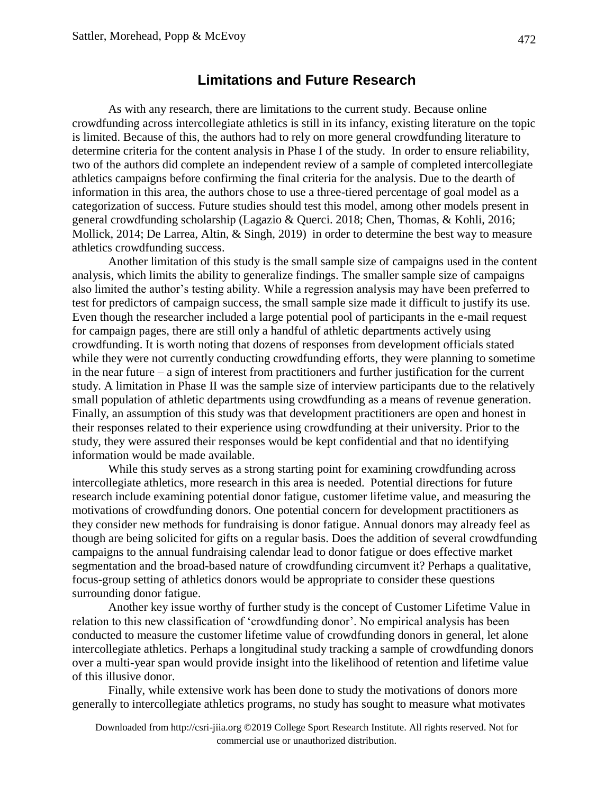### **Limitations and Future Research**

As with any research, there are limitations to the current study. Because online crowdfunding across intercollegiate athletics is still in its infancy, existing literature on the topic is limited. Because of this, the authors had to rely on more general crowdfunding literature to determine criteria for the content analysis in Phase I of the study. In order to ensure reliability, two of the authors did complete an independent review of a sample of completed intercollegiate athletics campaigns before confirming the final criteria for the analysis. Due to the dearth of information in this area, the authors chose to use a three-tiered percentage of goal model as a categorization of success. Future studies should test this model, among other models present in general crowdfunding scholarship (Lagazio & Querci. 2018; Chen, Thomas, & Kohli, 2016; Mollick, 2014; De Larrea, Altin, & Singh, 2019) in order to determine the best way to measure athletics crowdfunding success.

Another limitation of this study is the small sample size of campaigns used in the content analysis, which limits the ability to generalize findings. The smaller sample size of campaigns also limited the author's testing ability. While a regression analysis may have been preferred to test for predictors of campaign success, the small sample size made it difficult to justify its use. Even though the researcher included a large potential pool of participants in the e-mail request for campaign pages, there are still only a handful of athletic departments actively using crowdfunding. It is worth noting that dozens of responses from development officials stated while they were not currently conducting crowdfunding efforts, they were planning to sometime in the near future – a sign of interest from practitioners and further justification for the current study. A limitation in Phase II was the sample size of interview participants due to the relatively small population of athletic departments using crowdfunding as a means of revenue generation. Finally, an assumption of this study was that development practitioners are open and honest in their responses related to their experience using crowdfunding at their university. Prior to the study, they were assured their responses would be kept confidential and that no identifying information would be made available.

While this study serves as a strong starting point for examining crowdfunding across intercollegiate athletics, more research in this area is needed. Potential directions for future research include examining potential donor fatigue, customer lifetime value, and measuring the motivations of crowdfunding donors. One potential concern for development practitioners as they consider new methods for fundraising is donor fatigue. Annual donors may already feel as though are being solicited for gifts on a regular basis. Does the addition of several crowdfunding campaigns to the annual fundraising calendar lead to donor fatigue or does effective market segmentation and the broad-based nature of crowdfunding circumvent it? Perhaps a qualitative, focus-group setting of athletics donors would be appropriate to consider these questions surrounding donor fatigue.

Another key issue worthy of further study is the concept of Customer Lifetime Value in relation to this new classification of 'crowdfunding donor'. No empirical analysis has been conducted to measure the customer lifetime value of crowdfunding donors in general, let alone intercollegiate athletics. Perhaps a longitudinal study tracking a sample of crowdfunding donors over a multi-year span would provide insight into the likelihood of retention and lifetime value of this illusive donor.

Finally, while extensive work has been done to study the motivations of donors more generally to intercollegiate athletics programs, no study has sought to measure what motivates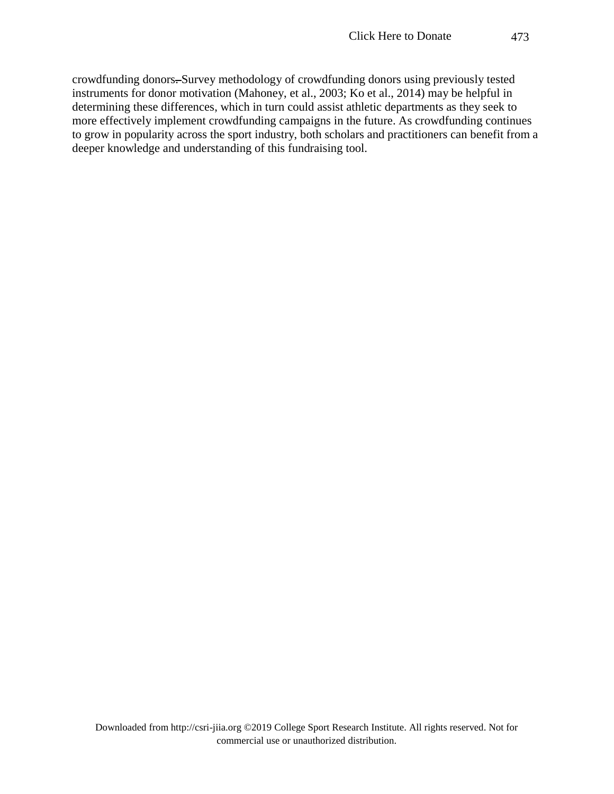crowdfunding donors. Survey methodology of crowdfunding donors using previously tested instruments for donor motivation (Mahoney, et al., 2003; Ko et al., 2014) may be helpful in determining these differences, which in turn could assist athletic departments as they seek to more effectively implement crowdfunding campaigns in the future. As crowdfunding continues to grow in popularity across the sport industry, both scholars and practitioners can benefit from a deeper knowledge and understanding of this fundraising tool.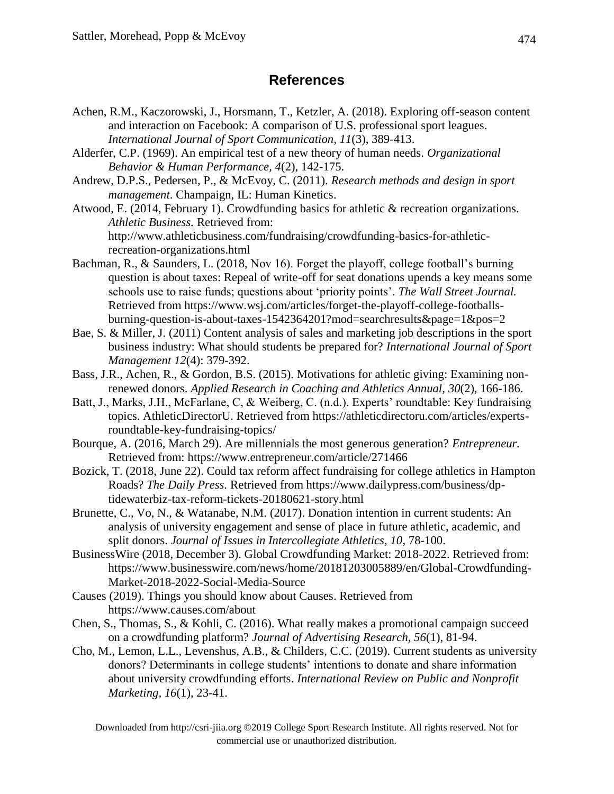## **References**

- Achen, R.M., Kaczorowski, J., Horsmann, T., Ketzler, A. (2018). Exploring off-season content and interaction on Facebook: A comparison of U.S. professional sport leagues. *International Journal of Sport Communication, 11*(3), 389-413.
- Alderfer, C.P. (1969). An empirical test of a new theory of human needs. *Organizational Behavior & Human Performance, 4*(2), 142-175.
- Andrew, D.P.S., Pedersen, P., & McEvoy, C. (2011). *Research methods and design in sport management*. Champaign, IL: Human Kinetics.
- Atwood, E. (2014, February 1). Crowdfunding basics for athletic & recreation organizations. *Athletic Business.* Retrieved from: http://www.athleticbusiness.com/fundraising/crowdfunding-basics-for-athleticrecreation-organizations.html
- Bachman, R., & Saunders, L. (2018, Nov 16). Forget the playoff, college football's burning question is about taxes: Repeal of write-off for seat donations upends a key means some schools use to raise funds; questions about 'priority points'. *The Wall Street Journal.* Retrieved from https://www.wsj.com/articles/forget-the-playoff-college-footballsburning-question-is-about-taxes-1542364201?mod=searchresults&page=1&pos=2
- Bae, S. & Miller, J. (2011) Content analysis of sales and marketing job descriptions in the sport business industry: What should students be prepared for? *International Journal of Sport Management 12*(4): 379-392.
- Bass, J.R., Achen, R., & Gordon, B.S. (2015). Motivations for athletic giving: Examining nonrenewed donors. *Applied Research in Coaching and Athletics Annual, 30*(2), 166-186.
- Batt, J., Marks, J.H., McFarlane, C, & Weiberg, C. (n.d.). Experts' roundtable: Key fundraising topics. AthleticDirectorU. Retrieved from https://athleticdirectoru.com/articles/expertsroundtable-key-fundraising-topics/
- Bourque, A. (2016, March 29). Are millennials the most generous generation? *Entrepreneur.*  Retrieved from: https://www.entrepreneur.com/article/271466
- Bozick, T. (2018, June 22). Could tax reform affect fundraising for college athletics in Hampton Roads? *The Daily Press.* Retrieved from https://www.dailypress.com/business/dptidewaterbiz-tax-reform-tickets-20180621-story.html
- Brunette, C., Vo, N., & Watanabe, N.M. (2017). Donation intention in current students: An analysis of university engagement and sense of place in future athletic, academic, and split donors. *Journal of Issues in Intercollegiate Athletics, 10*, 78-100.
- BusinessWire (2018, December 3). Global Crowdfunding Market: 2018-2022. Retrieved from: https://www.businesswire.com/news/home/20181203005889/en/Global-Crowdfunding-Market-2018-2022-Social-Media-Source
- Causes (2019). Things you should know about Causes. Retrieved from https://www.causes.com/about
- Chen, S., Thomas, S., & Kohli, C. (2016). What really makes a promotional campaign succeed on a crowdfunding platform? *Journal of Advertising Research, 56*(1), 81-94.
- Cho, M., Lemon, L.L., Levenshus, A.B., & Childers, C.C. (2019). Current students as university donors? Determinants in college students' intentions to donate and share information about university crowdfunding efforts. *International Review on Public and Nonprofit Marketing, 16*(1), 23-41.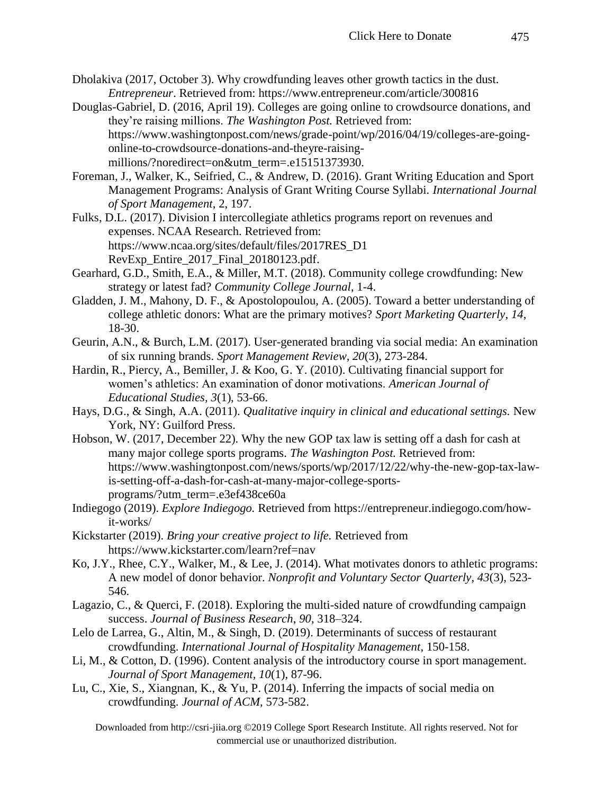- Dholakiva (2017, October 3). Why crowdfunding leaves other growth tactics in the dust. *Entrepreneur*. Retrieved from: https://www.entrepreneur.com/article/300816
- Douglas-Gabriel, D. (2016, April 19). Colleges are going online to crowdsource donations, and they're raising millions. *The Washington Post.* Retrieved from: https://www.washingtonpost.com/news/grade-point/wp/2016/04/19/colleges-are-goingonline-to-crowdsource-donations-and-theyre-raisingmillions/?noredirect=on&utm\_term=.e15151373930.
- Foreman, J., Walker, K., Seifried, C., & Andrew, D. (2016). Grant Writing Education and Sport Management Programs: Analysis of Grant Writing Course Syllabi. *International Journal of Sport Management*, 2, 197.
- Fulks, D.L. (2017). Division I intercollegiate athletics programs report on revenues and expenses. NCAA Research. Retrieved from: https://www.ncaa.org/sites/default/files/2017RES\_D1 RevExp\_Entire\_2017\_Final\_20180123.pdf.
- Gearhard, G.D., Smith, E.A., & Miller, M.T. (2018). Community college crowdfunding: New strategy or latest fad? *Community College Journal*, 1-4.
- Gladden, J. M., Mahony, D. F., & Apostolopoulou, A. (2005). Toward a better understanding of college athletic donors: What are the primary motives? *Sport Marketing Quarterly*, *14*, 18-30.
- Geurin, A.N., & Burch, L.M. (2017). User-generated branding via social media: An examination of six running brands. *Sport Management Review, 20*(3), 273-284.
- Hardin, R., Piercy, A., Bemiller, J. & Koo, G. Y. (2010). Cultivating financial support for women's athletics: An examination of donor motivations. *American Journal of Educational Studies, 3*(1), 53-66.
- Hays, D.G., & Singh, A.A. (2011). *Qualitative inquiry in clinical and educational settings.* New York, NY: Guilford Press.
- Hobson, W. (2017, December 22). Why the new GOP tax law is setting off a dash for cash at many major college sports programs. *The Washington Post.* Retrieved from: https://www.washingtonpost.com/news/sports/wp/2017/12/22/why-the-new-gop-tax-lawis-setting-off-a-dash-for-cash-at-many-major-college-sportsprograms/?utm\_term=.e3ef438ce60a
- Indiegogo (2019). *Explore Indiegogo.* Retrieved from https://entrepreneur.indiegogo.com/howit-works/
- Kickstarter (2019). *Bring your creative project to life.* Retrieved from https://www.kickstarter.com/learn?ref=nav
- Ko, J.Y., Rhee, C.Y., Walker, M., & Lee, J. (2014). What motivates donors to athletic programs: A new model of donor behavior. *Nonprofit and Voluntary Sector Quarterly, 43*(3), 523- 546.
- Lagazio, C., & Querci, F. (2018). Exploring the multi-sided nature of crowdfunding campaign success. *Journal of Business Research*, *90*, 318–324.
- Lelo de Larrea, G., Altin, M., & Singh, D. (2019). Determinants of success of restaurant crowdfunding. *International Journal of Hospitality Management*, 150-158.
- Li, M., & Cotton, D. (1996). Content analysis of the introductory course in sport management. *Journal of Sport Management, 10*(1), 87-96.
- Lu, C., Xie, S., Xiangnan, K., & Yu, P. (2014). Inferring the impacts of social media on crowdfunding. *Journal of ACM,* 573-582.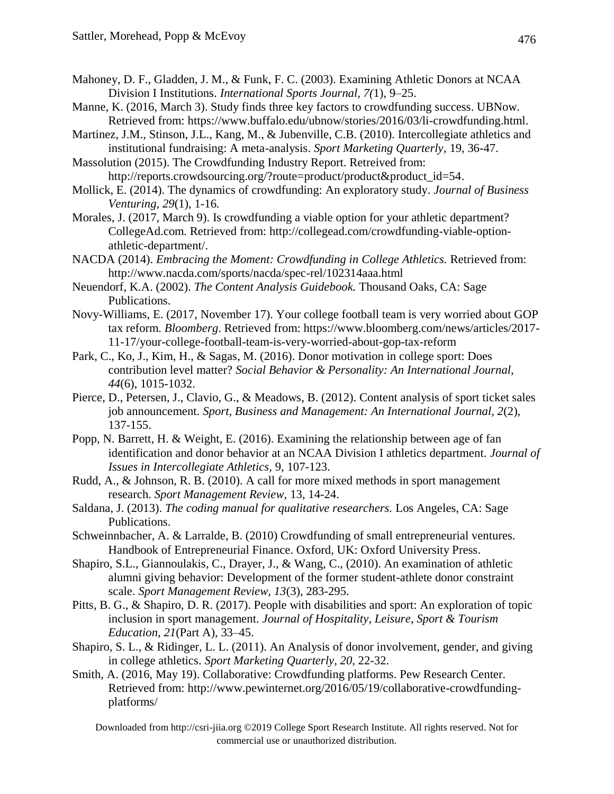- Mahoney, D. F., Gladden, J. M., & Funk, F. C. (2003). Examining Athletic Donors at NCAA Division I Institutions. *International Sports Journal, 7(*1), 9–25.
- Manne, K. (2016, March 3). Study finds three key factors to crowdfunding success. UBNow. Retrieved from: https://www.buffalo.edu/ubnow/stories/2016/03/li-crowdfunding.html.
- Martinez, J.M., Stinson, J.L., Kang, M., & Jubenville, C.B. (2010). Intercollegiate athletics and institutional fundraising: A meta-analysis. *Sport Marketing Quarterly,* 19, 36-47.
- Massolution (2015). The Crowdfunding Industry Report. Retreived from: http://reports.crowdsourcing.org/?route=product/product&product\_id=54.
- Mollick, E. (2014). The dynamics of crowdfunding: An exploratory study. *Journal of Business Venturing, 29*(1), 1-16*.*
- Morales, J. (2017, March 9). Is crowdfunding a viable option for your athletic department? CollegeAd.com. Retrieved from: http://collegead.com/crowdfunding-viable-optionathletic-department/.
- NACDA (2014). *Embracing the Moment: Crowdfunding in College Athletics.* Retrieved from: http://www.nacda.com/sports/nacda/spec-rel/102314aaa.html
- Neuendorf, K.A. (2002). *The Content Analysis Guidebook.* Thousand Oaks, CA: Sage Publications.
- Novy-Williams, E. (2017, November 17). Your college football team is very worried about GOP tax reform. *Bloomberg*. Retrieved from: https://www.bloomberg.com/news/articles/2017- 11-17/your-college-football-team-is-very-worried-about-gop-tax-reform
- Park, C., Ko, J., Kim, H., & Sagas, M. (2016). Donor motivation in college sport: Does contribution level matter? *Social Behavior & Personality: An International Journal, 44*(6), 1015-1032.
- Pierce, D., Petersen, J., Clavio, G., & Meadows, B. (2012). Content analysis of sport ticket sales job announcement. *Sport, Business and Management: An International Journal, 2*(2), 137-155.
- Popp, N. Barrett, H. & Weight, E. (2016). Examining the relationship between age of fan identification and donor behavior at an NCAA Division I athletics department. *Journal of Issues in Intercollegiate Athletics,* 9, 107-123.
- Rudd, A., & Johnson, R. B. (2010). A call for more mixed methods in sport management research. *Sport Management Review,* 13, 14-24.
- Saldana, J. (2013). *The coding manual for qualitative researchers.* Los Angeles, CA: Sage Publications.
- Schweinnbacher, A. & Larralde, B. (2010) Crowdfunding of small entrepreneurial ventures. Handbook of Entrepreneurial Finance. Oxford, UK: Oxford University Press.
- Shapiro, S.L., Giannoulakis, C., Drayer, J., & Wang, C., (2010). An examination of athletic alumni giving behavior: Development of the former student-athlete donor constraint scale. *Sport Management Review, 13*(3), 283-295.
- Pitts, B. G., & Shapiro, D. R. (2017). People with disabilities and sport: An exploration of topic inclusion in sport management. *Journal of Hospitality, Leisure, Sport & Tourism Education*, *21*(Part A), 33–45.
- Shapiro, S. L., & Ridinger, L. L. (2011). An Analysis of donor involvement, gender, and giving in college athletics. *Sport Marketing Quarterly, 20*, 22-32.
- Smith, A. (2016, May 19). Collaborative: Crowdfunding platforms. Pew Research Center. Retrieved from: http://www.pewinternet.org/2016/05/19/collaborative-crowdfundingplatforms/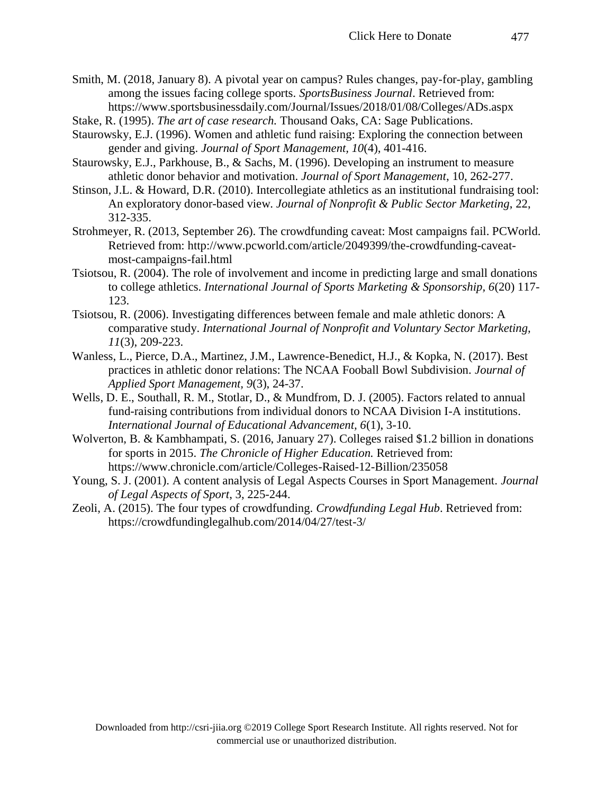- Smith, M. (2018, January 8). A pivotal year on campus? Rules changes, pay-for-play, gambling among the issues facing college sports. *SportsBusiness Journal*. Retrieved from: https://www.sportsbusinessdaily.com/Journal/Issues/2018/01/08/Colleges/ADs.aspx
- Stake, R. (1995). *The art of case research.* Thousand Oaks, CA: Sage Publications.
- Staurowsky, E.J. (1996). Women and athletic fund raising: Exploring the connection between gender and giving. *Journal of Sport Management, 10*(4), 401-416.
- Staurowsky, E.J., Parkhouse, B., & Sachs, M. (1996). Developing an instrument to measure athletic donor behavior and motivation. *Journal of Sport Management*, 10, 262-277.
- Stinson, J.L. & Howard, D.R. (2010). Intercollegiate athletics as an institutional fundraising tool: An exploratory donor-based view. *Journal of Nonprofit & Public Sector Marketing*, 22, 312-335.
- Strohmeyer, R. (2013, September 26). The crowdfunding caveat: Most campaigns fail. PCWorld. Retrieved from: http://www.pcworld.com/article/2049399/the-crowdfunding-caveatmost-campaigns-fail.html
- Tsiotsou, R. (2004). The role of involvement and income in predicting large and small donations to college athletics. *International Journal of Sports Marketing & Sponsorship, 6*(20) 117- 123.
- Tsiotsou, R. (2006). Investigating differences between female and male athletic donors: A comparative study. *International Journal of Nonprofit and Voluntary Sector Marketing, 11*(3), 209-223.
- Wanless, L., Pierce, D.A., Martinez, J.M., Lawrence-Benedict, H.J., & Kopka, N. (2017). Best practices in athletic donor relations: The NCAA Fooball Bowl Subdivision. *Journal of Applied Sport Management, 9*(3), 24-37.
- Wells, D. E., Southall, R. M., Stotlar, D., & Mundfrom, D. J. (2005). Factors related to annual fund-raising contributions from individual donors to NCAA Division I-A institutions. *International Journal of Educational Advancement, 6*(1), 3-10.
- Wolverton, B. & Kambhampati, S. (2016, January 27). Colleges raised \$1.2 billion in donations for sports in 2015. *The Chronicle of Higher Education.* Retrieved from: https://www.chronicle.com/article/Colleges-Raised-12-Billion/235058
- Young, S. J. (2001). A content analysis of Legal Aspects Courses in Sport Management. *Journal of Legal Aspects of Sport*, 3, 225-244.
- Zeoli, A. (2015). The four types of crowdfunding. *Crowdfunding Legal Hub*. Retrieved from: https://crowdfundinglegalhub.com/2014/04/27/test-3/